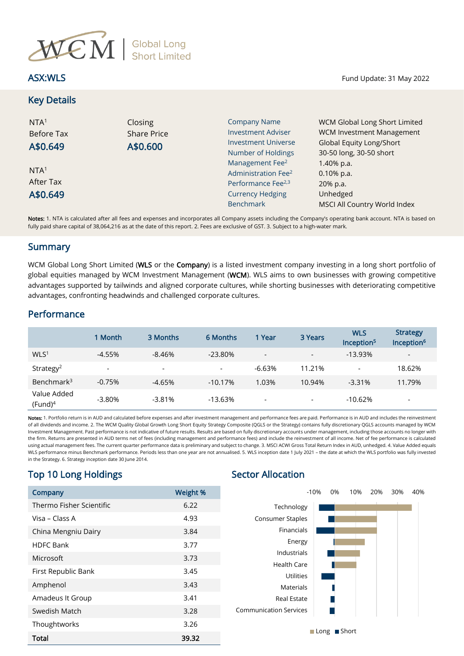

Key Details

| NTA <sup>1</sup><br><b>Before Tax</b><br>A\$0.649 | Closing<br><b>Share Price</b><br>A\$0.600 | <b>Company Name</b><br><b>Investment Adviser</b><br><b>Investment Universe</b><br>Number of Holdings<br>Management Fee <sup>2</sup> | <b>WCM Global Long Short Limited</b><br><b>WCM Investment Management</b><br>Global Equity Long/Short<br>30-50 long, 30-50 short<br>1.40% p.a. |  |  |
|---------------------------------------------------|-------------------------------------------|-------------------------------------------------------------------------------------------------------------------------------------|-----------------------------------------------------------------------------------------------------------------------------------------------|--|--|
| NTA <sup>1</sup><br>After Tax                     |                                           | Administration Fee <sup>2</sup><br>Performance Fee <sup>2,3</sup>                                                                   | $0.10\%$ p.a.<br>20% p.a.                                                                                                                     |  |  |
| A\$0.649                                          |                                           | <b>Currency Hedging</b>                                                                                                             | Unhedged                                                                                                                                      |  |  |
|                                                   |                                           | <b>Benchmark</b>                                                                                                                    | MSCI All Country World Index                                                                                                                  |  |  |

Notes: 1. NTA is calculated after all fees and expenses and incorporates all Company assets including the Company's operating bank account. NTA is based on fully paid share capital of 38,064,216 as at the date of this report. 2. Fees are exclusive of GST. 3. Subject to a high-water mark.

### **Summary**

WCM Global Long Short Limited (WLS or the Company) is a listed investment company investing in a long short portfolio of global equities managed by WCM Investment Management (WCM). WLS aims to own businesses with growing competitive advantages supported by tailwinds and aligned corporate cultures, while shorting businesses with deteriorating competitive advantages, confronting headwinds and challenged corporate cultures.

## Performance

|                           | 1 Month                  | 3 Months                 | 6 Months                 | 1 Year                   | 3 Years                  | <b>WLS</b><br>Inception <sup>5</sup> | <b>Strategy</b><br>Inception <sup>6</sup> |
|---------------------------|--------------------------|--------------------------|--------------------------|--------------------------|--------------------------|--------------------------------------|-------------------------------------------|
| WLS <sup>1</sup>          | $-4.55%$                 | $-8.46\%$                | $-23.80%$                | $\overline{\phantom{a}}$ | $\overline{\phantom{0}}$ | $-13.93%$                            | $\overline{\phantom{a}}$                  |
| Strategy <sup>2</sup>     | $\overline{\phantom{a}}$ | $\overline{\phantom{a}}$ | $\overline{\phantom{0}}$ | $-6.63%$                 | 11.21%                   | $\overline{\phantom{a}}$             | 18.62%                                    |
| Benchmark <sup>3</sup>    | $-0.75%$                 | $-4.65%$                 | $-10.17%$                | 1.03%                    | 10.94%                   | $-3.31%$                             | 11.79%                                    |
| Value Added<br>$(Fund)^4$ | $-3.80%$                 | $-3.81%$                 | $-13.63\%$               | $\overline{\phantom{0}}$ | -                        | $-10.62%$                            | $\overline{\phantom{a}}$                  |

Notes: 1. Portfolio return is in AUD and calculated before expenses and after investment management and performance fees are paid. Performance is in AUD and includes the reinvestment of all dividends and income. 2. The WCM Quality Global Growth Long Short Equity Strategy Composite (QGLS or the Strategy) contains fully discretionary QGLS accounts managed by WCM Investment Management. Past performance is not indicative of future results. Results are based on fully discretionary accounts under management, including those accounts no longer with the firm. Returns are presented in AUD terms net of fees (including management and performance fees) and include the reinvestment of all income. Net of fee performance is calculated using actual management fees. The current quarter performance data is preliminary and subject to change. 3. MSCI ACWI Gross Total Return Index in AUD, unhedged. 4. Value Added equals WLS performance minus Benchmark performance. Periods less than one year are not annualised. 5. WLS inception date 1 July 2021 – the date at which the WLS portfolio was fully invested in the Strategy. 6. Strategy inception date 30 June 2014.

# Top 10 Long Holdings Top 3 Sector Allocation

| Company                  | Weight % | $-10%$<br>0%<br>10%                    | 20% | 30% |
|--------------------------|----------|----------------------------------------|-----|-----|
| Thermo Fisher Scientific | 6.22     | Technology                             |     |     |
| Visa – Class A           | 4.93     | Consumer Staples                       |     |     |
| China Mengniu Dairy      | 3.84     | Financials                             |     |     |
| <b>HDFC Bank</b>         | 3.77     | Energy                                 |     |     |
| Microsoft                | 3.73     | Industrials                            |     |     |
| First Republic Bank      | 3.45     | <b>Health Care</b><br><b>Utilities</b> |     |     |
| Amphenol                 | 3.43     | Materials                              |     |     |
| Amadeus It Group         | 3.41     | <b>Real Estate</b>                     |     |     |
| Swedish Match            | 3.28     | <b>Communication Services</b>          |     |     |
| Thoughtworks             | 3.26     |                                        |     |     |
| <b>Total</b>             | 39.32    | <b>■Long</b> ■Short                    |     |     |